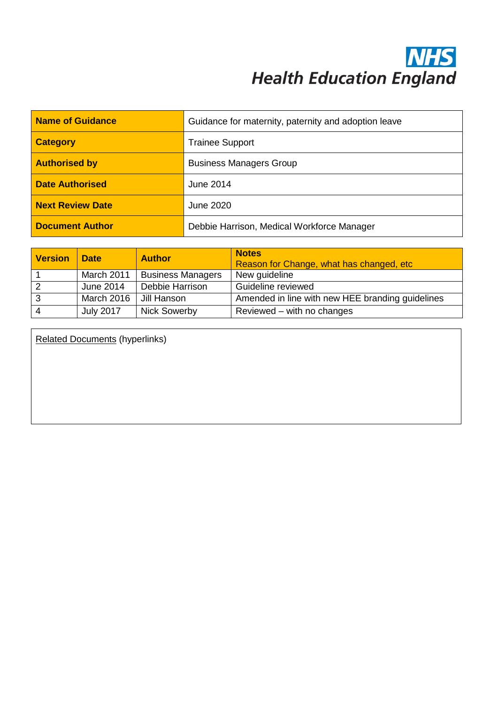## **NHS**<br>Health Education England

| Name of Guidance        | Guidance for maternity, paternity and adoption leave |  |
|-------------------------|------------------------------------------------------|--|
| <b>Category</b>         | <b>Trainee Support</b>                               |  |
| <b>Authorised by</b>    | <b>Business Managers Group</b>                       |  |
| <b>Date Authorised</b>  | June 2014                                            |  |
| <b>Next Review Date</b> | June 2020                                            |  |
| <b>Document Author</b>  | Debbie Harrison, Medical Workforce Manager           |  |

| <b>Version</b>          | <b>Date</b>      | <b>Author</b>            | <b>Notes</b><br>Reason for Change, what has changed, etc. |
|-------------------------|------------------|--------------------------|-----------------------------------------------------------|
|                         | March 2011       | <b>Business Managers</b> | New guideline                                             |
| $\overline{2}$          | June 2014        | Debbie Harrison          | Guideline reviewed                                        |
| $\overline{\mathbf{3}}$ | March 2016       | Jill Hanson              | Amended in line with new HEE branding guidelines          |
| - 4                     | <b>July 2017</b> | <b>Nick Sowerby</b>      | Reviewed – with no changes                                |

Related Documents (hyperlinks)